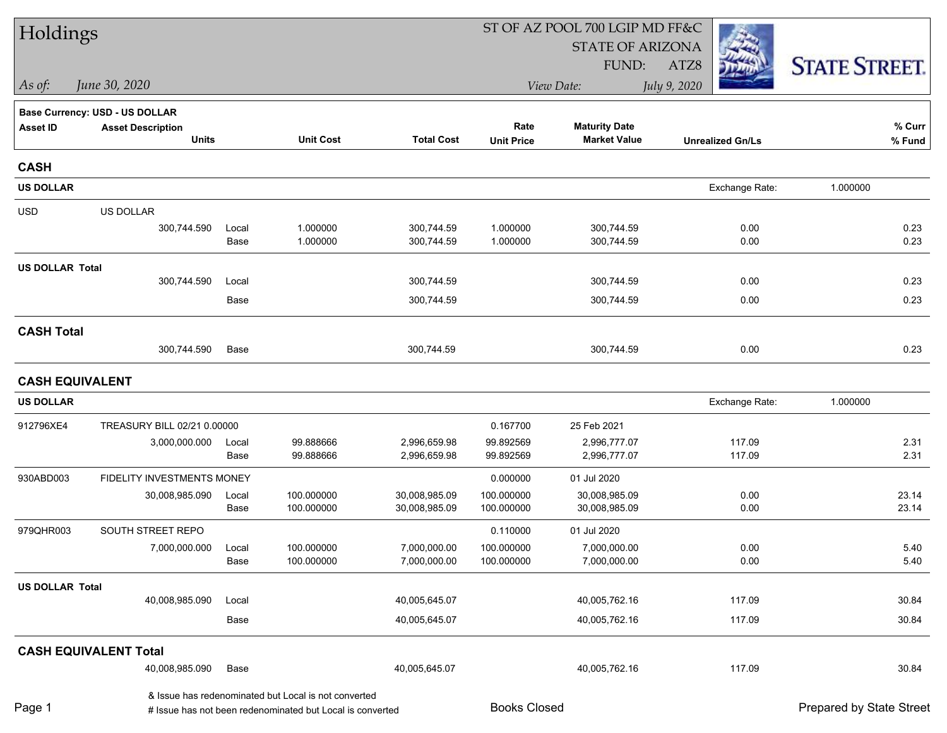| Holdings               |                                |               | ST OF AZ POOL 700 LGIP MD FF&C                                                                                    |                                |                          |                                |                         |                          |  |  |  |
|------------------------|--------------------------------|---------------|-------------------------------------------------------------------------------------------------------------------|--------------------------------|--------------------------|--------------------------------|-------------------------|--------------------------|--|--|--|
|                        |                                |               |                                                                                                                   |                                |                          | <b>STATE OF ARIZONA</b>        |                         |                          |  |  |  |
|                        |                                |               |                                                                                                                   |                                |                          | FUND:                          | ATZ8                    | <b>STATE STREET.</b>     |  |  |  |
| As of:                 | June 30, 2020                  |               |                                                                                                                   |                                |                          | View Date:                     | July 9, 2020            |                          |  |  |  |
|                        | Base Currency: USD - US DOLLAR |               |                                                                                                                   |                                |                          |                                |                         |                          |  |  |  |
| <b>Asset ID</b>        | <b>Asset Description</b>       |               |                                                                                                                   |                                | Rate                     | <b>Maturity Date</b>           |                         | % Curr                   |  |  |  |
|                        | <b>Units</b>                   |               | <b>Unit Cost</b>                                                                                                  | <b>Total Cost</b>              | <b>Unit Price</b>        | <b>Market Value</b>            | <b>Unrealized Gn/Ls</b> | % Fund                   |  |  |  |
| <b>CASH</b>            |                                |               |                                                                                                                   |                                |                          |                                |                         |                          |  |  |  |
| <b>US DOLLAR</b>       |                                |               |                                                                                                                   |                                |                          |                                | Exchange Rate:          | 1.000000                 |  |  |  |
| <b>USD</b>             | <b>US DOLLAR</b>               |               |                                                                                                                   |                                |                          |                                |                         |                          |  |  |  |
|                        | 300,744.590                    | Local         | 1.000000                                                                                                          | 300,744.59                     | 1.000000                 | 300,744.59                     | 0.00                    | 0.23                     |  |  |  |
|                        |                                | Base          | 1.000000                                                                                                          | 300,744.59                     | 1.000000                 | 300,744.59                     | 0.00                    | 0.23                     |  |  |  |
| <b>US DOLLAR Total</b> |                                |               |                                                                                                                   |                                |                          |                                |                         |                          |  |  |  |
|                        | 300,744.590                    | Local         |                                                                                                                   | 300,744.59                     |                          | 300,744.59                     | 0.00                    | 0.23                     |  |  |  |
|                        |                                | Base          |                                                                                                                   | 300,744.59                     |                          | 300,744.59                     | 0.00                    | 0.23                     |  |  |  |
| <b>CASH Total</b>      |                                |               |                                                                                                                   |                                |                          |                                |                         |                          |  |  |  |
|                        | 300,744.590                    | Base          |                                                                                                                   | 300,744.59                     |                          | 300,744.59                     | 0.00                    | 0.23                     |  |  |  |
|                        | <b>CASH EQUIVALENT</b>         |               |                                                                                                                   |                                |                          |                                |                         |                          |  |  |  |
| <b>US DOLLAR</b>       |                                |               |                                                                                                                   |                                |                          |                                | Exchange Rate:          | 1.000000                 |  |  |  |
| 912796XE4              | TREASURY BILL 02/21 0.00000    |               |                                                                                                                   |                                | 0.167700                 | 25 Feb 2021                    |                         |                          |  |  |  |
|                        | 3,000,000.000                  | Local         | 99.888666                                                                                                         | 2,996,659.98                   | 99.892569                | 2,996,777.07                   | 117.09                  | 2.31                     |  |  |  |
|                        |                                | Base          | 99.888666                                                                                                         | 2,996,659.98                   | 99.892569                | 2,996,777.07                   | 117.09                  | 2.31                     |  |  |  |
| 930ABD003              | FIDELITY INVESTMENTS MONEY     |               |                                                                                                                   |                                | 0.000000                 | 01 Jul 2020                    |                         |                          |  |  |  |
|                        | 30,008,985.090                 | Local<br>Base | 100.000000<br>100.000000                                                                                          | 30,008,985.09<br>30,008,985.09 | 100.000000<br>100.000000 | 30,008,985.09<br>30,008,985.09 | 0.00<br>0.00            | 23.14<br>23.14           |  |  |  |
|                        |                                |               |                                                                                                                   |                                |                          |                                |                         |                          |  |  |  |
| 979QHR003              | SOUTH STREET REPO              |               |                                                                                                                   |                                | 0.110000                 | 01 Jul 2020                    |                         |                          |  |  |  |
|                        | 7,000,000.000                  | Local<br>Base | 100.000000<br>100.000000                                                                                          | 7,000,000.00<br>7,000,000.00   | 100.000000<br>100.000000 | 7,000,000.00<br>7,000,000.00   | 0.00<br>0.00            | 5.40<br>5.40             |  |  |  |
| <b>US DOLLAR Total</b> |                                |               |                                                                                                                   |                                |                          |                                |                         |                          |  |  |  |
|                        | 40,008,985.090                 | Local         |                                                                                                                   | 40,005,645.07                  |                          | 40,005,762.16                  | 117.09                  | 30.84                    |  |  |  |
|                        |                                | Base          |                                                                                                                   | 40,005,645.07                  |                          | 40,005,762.16                  | 117.09                  | 30.84                    |  |  |  |
|                        | <b>CASH EQUIVALENT Total</b>   |               |                                                                                                                   |                                |                          |                                |                         |                          |  |  |  |
|                        | 40,008,985.090                 | Base          |                                                                                                                   | 40,005,645.07                  |                          | 40,005,762.16                  | 117.09                  | 30.84                    |  |  |  |
| Page 1                 |                                |               | & Issue has redenominated but Local is not converted<br># Issue has not been redenominated but Local is converted |                                | <b>Books Closed</b>      |                                |                         | Prepared by State Street |  |  |  |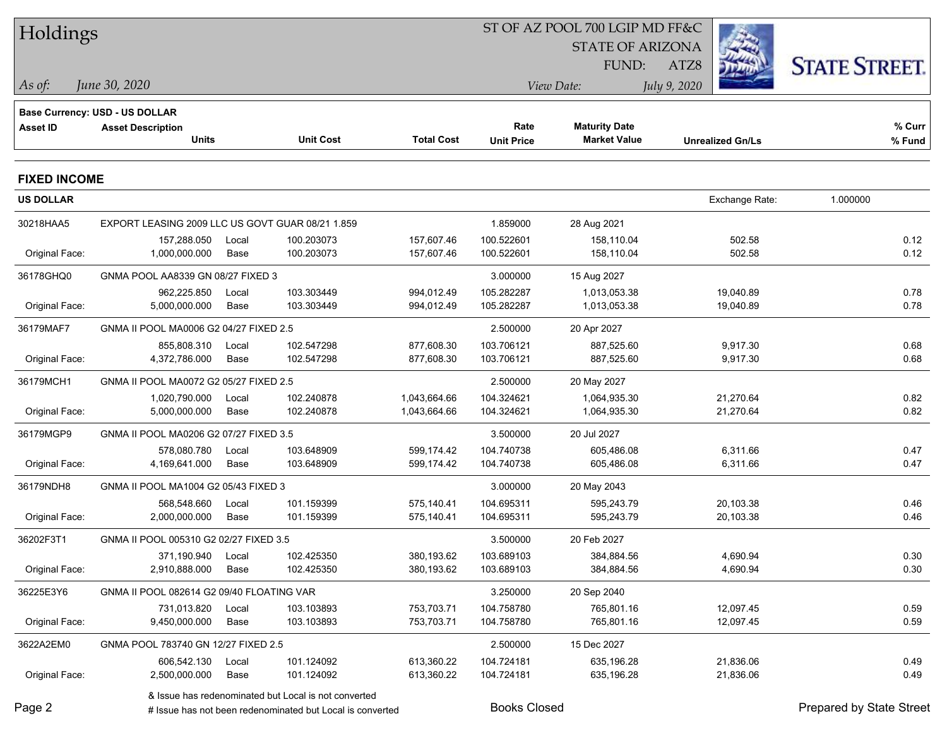| Holdings            |                                                                   |       |                                                           |                   |                     | ST OF AZ POOL 700 LGIP MD FF&C |                         |                          |  |
|---------------------|-------------------------------------------------------------------|-------|-----------------------------------------------------------|-------------------|---------------------|--------------------------------|-------------------------|--------------------------|--|
|                     |                                                                   |       |                                                           |                   |                     | <b>STATE OF ARIZONA</b>        |                         |                          |  |
|                     |                                                                   |       |                                                           |                   |                     | FUND:                          | ATZ8                    | <b>STATE STREET.</b>     |  |
| As of:              | June 30, 2020                                                     |       |                                                           |                   |                     | View Date:                     | July 9, 2020            |                          |  |
|                     |                                                                   |       |                                                           |                   |                     |                                |                         |                          |  |
| <b>Asset ID</b>     | <b>Base Currency: USD - US DOLLAR</b><br><b>Asset Description</b> |       |                                                           |                   | Rate                | <b>Maturity Date</b>           |                         | % Curr                   |  |
|                     | Units                                                             |       | <b>Unit Cost</b>                                          | <b>Total Cost</b> | <b>Unit Price</b>   | <b>Market Value</b>            | <b>Unrealized Gn/Ls</b> | % Fund                   |  |
| <b>FIXED INCOME</b> |                                                                   |       |                                                           |                   |                     |                                |                         |                          |  |
| <b>US DOLLAR</b>    |                                                                   |       |                                                           |                   |                     |                                | Exchange Rate:          | 1.000000                 |  |
| 30218HAA5           | EXPORT LEASING 2009 LLC US GOVT GUAR 08/21 1.859                  |       |                                                           |                   | 1.859000            | 28 Aug 2021                    |                         |                          |  |
|                     | 157,288.050                                                       | Local | 100.203073                                                | 157,607.46        | 100.522601          | 158,110.04                     | 502.58                  | 0.12                     |  |
| Original Face:      | 1,000,000.000                                                     | Base  | 100.203073                                                | 157,607.46        | 100.522601          | 158,110.04                     | 502.58                  | 0.12                     |  |
| 36178GHQ0           | GNMA POOL AA8339 GN 08/27 FIXED 3                                 |       |                                                           |                   | 3.000000            | 15 Aug 2027                    |                         |                          |  |
|                     | 962,225.850                                                       | Local | 103.303449                                                | 994,012.49        | 105.282287          | 1,013,053.38                   | 19,040.89               | 0.78                     |  |
| Original Face:      | 5,000,000.000                                                     | Base  | 103.303449                                                | 994,012.49        | 105.282287          | 1,013,053.38                   | 19,040.89               | 0.78                     |  |
| 36179MAF7           | GNMA II POOL MA0006 G2 04/27 FIXED 2.5                            |       |                                                           |                   | 2.500000            | 20 Apr 2027                    |                         |                          |  |
|                     | 855,808.310                                                       | Local | 102.547298                                                | 877,608.30        | 103.706121          | 887,525.60                     | 9,917.30                | 0.68                     |  |
| Original Face:      | 4,372,786.000                                                     | Base  | 102.547298                                                | 877,608.30        | 103.706121          | 887,525.60                     | 9,917.30                | 0.68                     |  |
| 36179MCH1           | GNMA II POOL MA0072 G2 05/27 FIXED 2.5                            |       |                                                           |                   | 2.500000            | 20 May 2027                    |                         |                          |  |
|                     | 1,020,790.000                                                     | Local | 102.240878                                                | 1,043,664.66      | 104.324621          | 1,064,935.30                   | 21,270.64               | 0.82                     |  |
| Original Face:      | 5,000,000.000                                                     | Base  | 102.240878                                                | 1,043,664.66      | 104.324621          | 1,064,935.30                   | 21,270.64               | 0.82                     |  |
| 36179MGP9           | GNMA II POOL MA0206 G2 07/27 FIXED 3.5                            |       |                                                           |                   | 3.500000            | 20 Jul 2027                    |                         |                          |  |
|                     | 578,080.780                                                       | Local | 103.648909                                                | 599,174.42        | 104.740738          | 605,486.08                     | 6,311.66                | 0.47                     |  |
| Original Face:      | 4,169,641.000                                                     | Base  | 103.648909                                                | 599,174.42        | 104.740738          | 605,486.08                     | 6,311.66                | 0.47                     |  |
| 36179NDH8           | GNMA II POOL MA1004 G2 05/43 FIXED 3                              |       |                                                           |                   | 3.000000            | 20 May 2043                    |                         |                          |  |
|                     | 568,548.660                                                       | Local | 101.159399                                                | 575,140.41        | 104.695311          | 595,243.79                     | 20,103.38               | 0.46                     |  |
| Original Face:      | 2,000,000.000                                                     | Base  | 101.159399                                                | 575,140.41        | 104.695311          | 595,243.79                     | 20,103.38               | 0.46                     |  |
| 36202F3T1           | GNMA II POOL 005310 G2 02/27 FIXED 3.5                            |       |                                                           |                   | 3.500000            | 20 Feb 2027                    |                         |                          |  |
|                     | 371,190.940 Local                                                 |       | 102.425350                                                | 380,193.62        | 103.689103          | 384,884.56                     | 4,690.94                | 0.30                     |  |
| Original Face:      | 2,910,888.000                                                     | Base  | 102.425350                                                | 380,193.62        | 103.689103          | 384,884.56                     | 4,690.94                | 0.30                     |  |
| 36225E3Y6           | GNMA II POOL 082614 G2 09/40 FLOATING VAR                         |       |                                                           |                   | 3.250000            | 20 Sep 2040                    |                         |                          |  |
|                     | 731,013.820                                                       | Local | 103.103893                                                | 753,703.71        | 104.758780          | 765,801.16                     | 12,097.45               | 0.59                     |  |
| Original Face:      | 9,450,000.000                                                     | Base  | 103.103893                                                | 753,703.71        | 104.758780          | 765,801.16                     | 12,097.45               | 0.59                     |  |
| 3622A2EM0           | GNMA POOL 783740 GN 12/27 FIXED 2.5                               |       |                                                           |                   | 2.500000            | 15 Dec 2027                    |                         |                          |  |
|                     | 606,542.130                                                       | Local | 101.124092                                                | 613,360.22        | 104.724181          | 635,196.28                     | 21,836.06               | 0.49                     |  |
| Original Face:      | 2,500,000.000                                                     | Base  | 101.124092                                                | 613,360.22        | 104.724181          | 635,196.28                     | 21,836.06               | 0.49                     |  |
|                     |                                                                   |       | & Issue has redenominated but Local is not converted      |                   |                     |                                |                         |                          |  |
| Page 2              |                                                                   |       | # Issue has not been redenominated but Local is converted |                   | <b>Books Closed</b> |                                |                         | Prepared by State Street |  |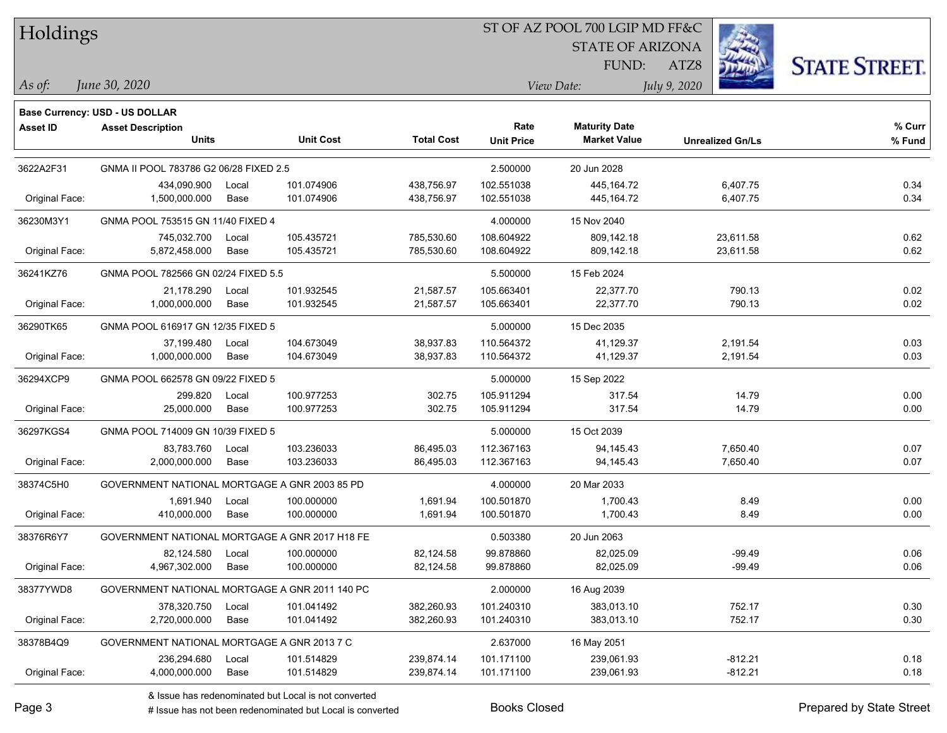Holdings

## ST OF AZ POOL 700 LGIP MD FF&C

STATE OF ARIZONA

ATZ8



*June 30, 2020 As of: View Date: July 9, 2020*

FUND:

|                 | <b>Base Currency: USD - US DOLLAR</b>          |       |                  |                   |                   |                      |                         |        |
|-----------------|------------------------------------------------|-------|------------------|-------------------|-------------------|----------------------|-------------------------|--------|
| <b>Asset ID</b> | <b>Asset Description</b>                       |       |                  |                   | Rate              | <b>Maturity Date</b> |                         | % Curr |
|                 | <b>Units</b>                                   |       | <b>Unit Cost</b> | <b>Total Cost</b> | <b>Unit Price</b> | <b>Market Value</b>  | <b>Unrealized Gn/Ls</b> | % Fund |
| 3622A2F31       | GNMA II POOL 783786 G2 06/28 FIXED 2.5         |       |                  |                   | 2.500000          | 20 Jun 2028          |                         |        |
|                 | 434,090.900                                    | Local | 101.074906       | 438,756.97        | 102.551038        | 445, 164. 72         | 6,407.75                | 0.34   |
| Original Face:  | 1,500,000.000                                  | Base  | 101.074906       | 438,756.97        | 102.551038        | 445, 164. 72         | 6,407.75                | 0.34   |
| 36230M3Y1       | GNMA POOL 753515 GN 11/40 FIXED 4              |       |                  |                   | 4.000000          | 15 Nov 2040          |                         |        |
|                 | 745,032.700                                    | Local | 105.435721       | 785,530.60        | 108.604922        | 809,142.18           | 23,611.58               | 0.62   |
| Original Face:  | 5,872,458.000                                  | Base  | 105.435721       | 785,530.60        | 108.604922        | 809,142.18           | 23,611.58               | 0.62   |
| 36241KZ76       | GNMA POOL 782566 GN 02/24 FIXED 5.5            |       |                  |                   | 5.500000          | 15 Feb 2024          |                         |        |
|                 | 21,178.290                                     | Local | 101.932545       | 21,587.57         | 105.663401        | 22,377.70            | 790.13                  | 0.02   |
| Original Face:  | 1,000,000.000                                  | Base  | 101.932545       | 21,587.57         | 105.663401        | 22,377.70            | 790.13                  | 0.02   |
| 36290TK65       | GNMA POOL 616917 GN 12/35 FIXED 5              |       |                  |                   | 5.000000          | 15 Dec 2035          |                         |        |
|                 | 37,199.480                                     | Local | 104.673049       | 38,937.83         | 110.564372        | 41,129.37            | 2,191.54                | 0.03   |
| Original Face:  | 1,000,000.000                                  | Base  | 104.673049       | 38,937.83         | 110.564372        | 41,129.37            | 2,191.54                | 0.03   |
| 36294XCP9       | GNMA POOL 662578 GN 09/22 FIXED 5              |       |                  |                   | 5.000000          | 15 Sep 2022          |                         |        |
|                 | 299.820                                        | Local | 100.977253       | 302.75            | 105.911294        | 317.54               | 14.79                   | 0.00   |
| Original Face:  | 25,000.000                                     | Base  | 100.977253       | 302.75            | 105.911294        | 317.54               | 14.79                   | 0.00   |
| 36297KGS4       | GNMA POOL 714009 GN 10/39 FIXED 5              |       |                  |                   | 5.000000          | 15 Oct 2039          |                         |        |
|                 | 83,783.760                                     | Local | 103.236033       | 86,495.03         | 112.367163        | 94,145.43            | 7,650.40                | 0.07   |
| Original Face:  | 2,000,000.000                                  | Base  | 103.236033       | 86,495.03         | 112.367163        | 94,145.43            | 7,650.40                | 0.07   |
| 38374C5H0       | GOVERNMENT NATIONAL MORTGAGE A GNR 2003 85 PD  |       |                  |                   | 4.000000          | 20 Mar 2033          |                         |        |
|                 | 1,691.940                                      | Local | 100.000000       | 1,691.94          | 100.501870        | 1,700.43             | 8.49                    | 0.00   |
| Original Face:  | 410,000.000                                    | Base  | 100.000000       | 1,691.94          | 100.501870        | 1,700.43             | 8.49                    | 0.00   |
| 38376R6Y7       | GOVERNMENT NATIONAL MORTGAGE A GNR 2017 H18 FE |       |                  |                   | 0.503380          | 20 Jun 2063          |                         |        |
|                 | 82,124.580                                     | Local | 100.000000       | 82,124.58         | 99.878860         | 82,025.09            | $-99.49$                | 0.06   |
| Original Face:  | 4,967,302.000                                  | Base  | 100.000000       | 82,124.58         | 99.878860         | 82,025.09            | $-99.49$                | 0.06   |
| 38377YWD8       | GOVERNMENT NATIONAL MORTGAGE A GNR 2011 140 PC |       |                  |                   | 2.000000          | 16 Aug 2039          |                         |        |
|                 | 378,320.750                                    | Local | 101.041492       | 382,260.93        | 101.240310        | 383,013.10           | 752.17                  | 0.30   |
| Original Face:  | 2,720,000.000                                  | Base  | 101.041492       | 382,260.93        | 101.240310        | 383,013.10           | 752.17                  | 0.30   |
| 38378B4Q9       | GOVERNMENT NATIONAL MORTGAGE A GNR 2013 7 C    |       |                  |                   | 2.637000          | 16 May 2051          |                         |        |
|                 | 236,294.680                                    | Local | 101.514829       | 239,874.14        | 101.171100        | 239,061.93           | $-812.21$               | 0.18   |
| Original Face:  | 4,000,000.000                                  | Base  | 101.514829       | 239,874.14        | 101.171100        | 239,061.93           | $-812.21$               | 0.18   |

& Issue has redenominated but Local is not converted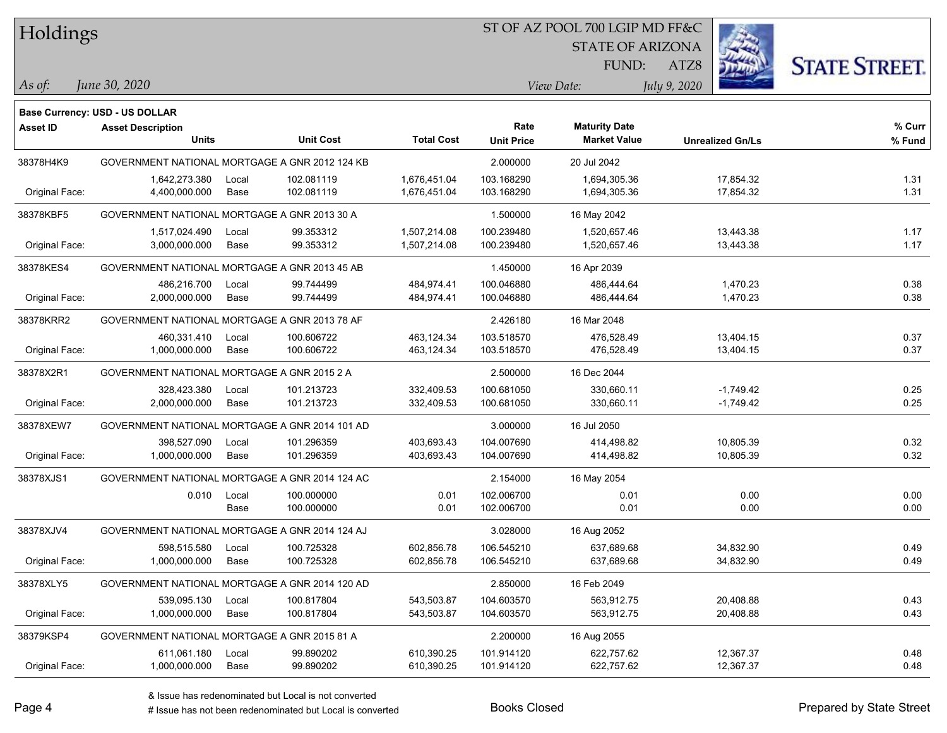| Holdings |  |
|----------|--|
|----------|--|

### ST OF AZ POOL 700 LGIP MD FF&C

STATE OF ARIZONA



*June 30, 2020 As of: View Date: July 9, 2020*

ATZ8 FUND:

|                | <b>Base Currency: USD - US DOLLAR</b>          |                  |                   |                   |                      |                         |        |
|----------------|------------------------------------------------|------------------|-------------------|-------------------|----------------------|-------------------------|--------|
| Asset ID       | <b>Asset Description</b>                       |                  |                   | Rate              | <b>Maturity Date</b> |                         | % Curr |
|                | <b>Units</b>                                   | <b>Unit Cost</b> | <b>Total Cost</b> | <b>Unit Price</b> | <b>Market Value</b>  | <b>Unrealized Gn/Ls</b> | % Fund |
| 38378H4K9      | GOVERNMENT NATIONAL MORTGAGE A GNR 2012 124 KB |                  |                   | 2.000000          | 20 Jul 2042          |                         |        |
|                | 1,642,273.380<br>Local                         | 102.081119       | 1,676,451.04      | 103.168290        | 1,694,305.36         | 17,854.32               | 1.31   |
| Original Face: | 4,400,000.000<br>Base                          | 102.081119       | 1,676,451.04      | 103.168290        | 1,694,305.36         | 17,854.32               | 1.31   |
| 38378KBF5      | GOVERNMENT NATIONAL MORTGAGE A GNR 2013 30 A   |                  |                   | 1.500000          | 16 May 2042          |                         |        |
|                | 1,517,024.490<br>Local                         | 99.353312        | 1,507,214.08      | 100.239480        | 1,520,657.46         | 13,443.38               | 1.17   |
| Original Face: | 3,000,000.000<br>Base                          | 99.353312        | 1,507,214.08      | 100.239480        | 1,520,657.46         | 13,443.38               | 1.17   |
| 38378KES4      | GOVERNMENT NATIONAL MORTGAGE A GNR 2013 45 AB  |                  |                   | 1.450000          | 16 Apr 2039          |                         |        |
|                | 486,216.700<br>Local                           | 99.744499        | 484,974.41        | 100.046880        | 486,444.64           | 1,470.23                | 0.38   |
| Original Face: | 2,000,000.000<br>Base                          | 99.744499        | 484,974.41        | 100.046880        | 486,444.64           | 1,470.23                | 0.38   |
| 38378KRR2      | GOVERNMENT NATIONAL MORTGAGE A GNR 2013 78 AF  |                  |                   | 2.426180          | 16 Mar 2048          |                         |        |
|                | 460,331.410<br>Local                           | 100.606722       | 463,124.34        | 103.518570        | 476,528.49           | 13,404.15               | 0.37   |
| Original Face: | 1,000,000.000<br>Base                          | 100.606722       | 463,124.34        | 103.518570        | 476,528.49           | 13,404.15               | 0.37   |
| 38378X2R1      | GOVERNMENT NATIONAL MORTGAGE A GNR 2015 2 A    |                  |                   | 2.500000          | 16 Dec 2044          |                         |        |
|                | 328,423.380<br>Local                           | 101.213723       | 332,409.53        | 100.681050        | 330,660.11           | $-1,749.42$             | 0.25   |
| Original Face: | 2,000,000.000<br>Base                          | 101.213723       | 332,409.53        | 100.681050        | 330,660.11           | $-1,749.42$             | 0.25   |
| 38378XEW7      | GOVERNMENT NATIONAL MORTGAGE A GNR 2014 101 AD |                  |                   | 3.000000          | 16 Jul 2050          |                         |        |
|                | 398,527.090<br>Local                           | 101.296359       | 403,693.43        | 104.007690        | 414,498.82           | 10,805.39               | 0.32   |
| Original Face: | 1,000,000.000<br>Base                          | 101.296359       | 403,693.43        | 104.007690        | 414,498.82           | 10,805.39               | 0.32   |
| 38378XJS1      | GOVERNMENT NATIONAL MORTGAGE A GNR 2014 124 AC |                  |                   | 2.154000          | 16 May 2054          |                         |        |
|                | 0.010<br>Local                                 | 100.000000       | 0.01              | 102.006700        | 0.01                 | 0.00                    | 0.00   |
|                | Base                                           | 100.000000       | 0.01              | 102.006700        | 0.01                 | 0.00                    | 0.00   |
| 38378XJV4      | GOVERNMENT NATIONAL MORTGAGE A GNR 2014 124 AJ |                  |                   | 3.028000          | 16 Aug 2052          |                         |        |
|                | 598,515.580<br>Local                           | 100.725328       | 602,856.78        | 106.545210        | 637,689.68           | 34,832.90               | 0.49   |
| Original Face: | 1,000,000.000<br>Base                          | 100.725328       | 602,856.78        | 106.545210        | 637,689.68           | 34,832.90               | 0.49   |
| 38378XLY5      | GOVERNMENT NATIONAL MORTGAGE A GNR 2014 120 AD |                  |                   | 2.850000          | 16 Feb 2049          |                         |        |
|                | 539,095.130<br>Local                           | 100.817804       | 543,503.87        | 104.603570        | 563,912.75           | 20,408.88               | 0.43   |
| Original Face: | 1,000,000.000<br>Base                          | 100.817804       | 543,503.87        | 104.603570        | 563,912.75           | 20,408.88               | 0.43   |
| 38379KSP4      | GOVERNMENT NATIONAL MORTGAGE A GNR 2015 81 A   |                  |                   | 2.200000          | 16 Aug 2055          |                         |        |
|                | 611,061.180<br>Local                           | 99.890202        | 610,390.25        | 101.914120        | 622,757.62           | 12,367.37               | 0.48   |
| Original Face: | 1,000,000.000<br>Base                          | 99.890202        | 610,390.25        | 101.914120        | 622,757.62           | 12,367.37               | 0.48   |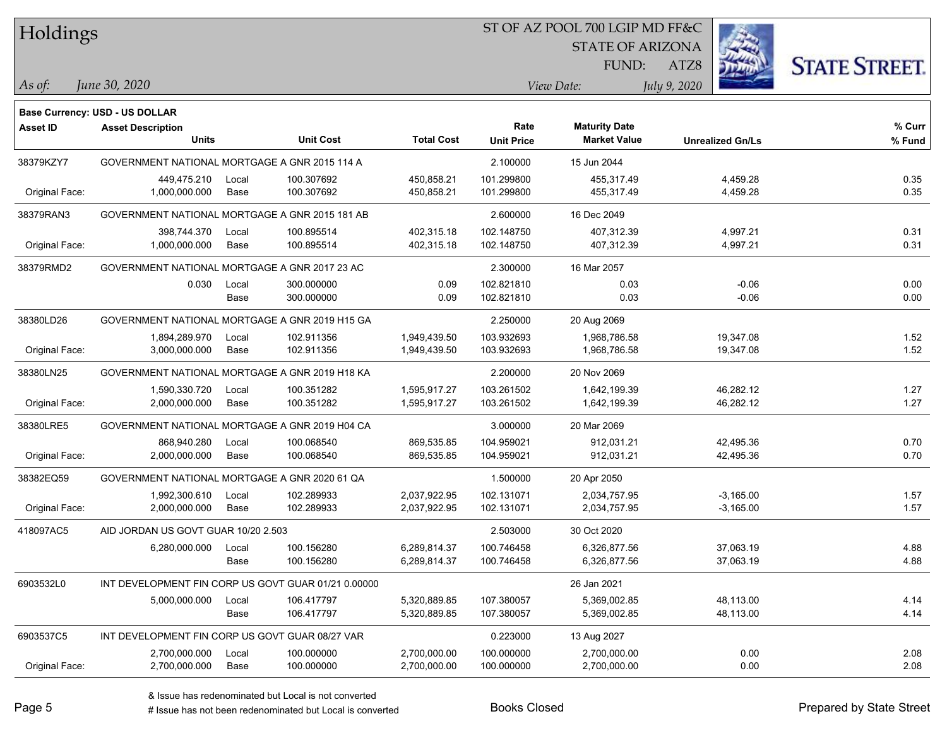| Holdings |  |
|----------|--|
|----------|--|

#### ST OF AZ POOL 700 LGIP MD FF&C

STATE OF ARIZONA



**% Fund**

**% Curr**

*June 30, 2020 As of: View Date: July 9, 2020*

**Base Currency: USD - US DOLLAR**

ATZ8 FUND:

| 38379KZY7      | GOVERNMENT NATIONAL MORTGAGE A GNR 2015 114 A  |       |            |              | 2.100000   | 15 Jun 2044           |           |      |
|----------------|------------------------------------------------|-------|------------|--------------|------------|-----------------------|-----------|------|
|                | 449,475.210                                    | Local | 100.307692 | 450,858.21   | 101.299800 | 455,317.49            | 4,459.28  | 0.35 |
| Original Face: | 1.000.000.000                                  | Base  | 100.307692 | 450.858.21   | 101.299800 | 455.317.49            | 4,459.28  | 0.35 |
|                |                                                |       |            |              |            |                       |           |      |
| 38379RAN3      | GOVERNMENT NATIONAL MORTGAGE A GNR 2015 181 AB |       |            |              | 2.600000   | 16 Dec 2049           |           |      |
|                | 398,744.370                                    | Local | 100.895514 | 402.315.18   | 102.148750 | 407,312.39            | 4,997.21  | 0.31 |
| Original Face: | 1,000,000.000                                  | Base  | 100.895514 | 402,315.18   | 102.148750 | 407,312.39            | 4,997.21  | 0.31 |
| 38379RMD2      | GOVERNMENT NATIONAL MORTGAGE A GNR 2017 23 AC  |       |            |              | 2.300000   | 16 Mar 2057           |           |      |
|                |                                                |       |            |              |            |                       |           |      |
|                | 0.030                                          | Local | 300.000000 | 0.09         | 102.821810 | 0.03                  | $-0.06$   | 0.00 |
|                |                                                | Base  | 300.000000 | 0.09         | 102.821810 | 0.03                  | $-0.06$   | 0.00 |
| 38380LD26      | GOVERNMENT NATIONAL MORTGAGE A GNR 2019 H15 GA |       |            |              | 2.250000   | 20 Aug 2069           |           |      |
|                | 1,894,289.970                                  | Local | 102.911356 | 1,949,439.50 | 103.932693 | 1,968,786.58          | 19,347.08 | 1.52 |
| Original Face: | 3,000,000.000                                  | Base  | 102.911356 | 1,949,439.50 | 103.932693 | 1,968,786.58          | 19,347.08 | 1.52 |
| 38380LN25      | GOVERNMENT NATIONAL MORTGAGE A GNR 2019 H18 KA |       |            |              | 2.200000   | 20 Nov 2069           |           |      |
|                | 1,590,330.720                                  | Local | 100.351282 | 1,595,917.27 | 103.261502 | 1,642,199.39          | 46,282.12 | 1.27 |
| Original Face: | 2,000,000.000                                  | Base  | 100.351282 | 1,595,917.27 | 103.261502 | 1,642,199.39          | 46,282.12 | 1.27 |
| 38380LRE5      | GOVERNMENT NATIONAL MORTGAGE A GNR 2019 H04 CA |       |            |              | 3.000000   | 20 Mar 2069           |           |      |
|                | 868,940.280                                    | Local | 100.068540 | 869,535.85   | 104.959021 | 912,031.21            | 42,495.36 | 0.70 |
| Original Face: | 2,000,000.000                                  | Base  | 100.068540 | 869,535.85   | 104.959021 | 912,031.21            | 42,495.36 | 0.70 |
| 39399EO50      | COVEDNIMENT NATIONAL MODTCACE A CND 2020 61 OA |       |            |              | 1.500000   | $20 \text{ Arr} 2050$ |           |      |

**Maturity Date**

| 38379RMDZ      | GOVERNMENT NATIONAL MORTGAGE A GNR 2017 23 AC       |               |                          |                              | Z.300000                 | $16$ Mar 2057                |                            |              |
|----------------|-----------------------------------------------------|---------------|--------------------------|------------------------------|--------------------------|------------------------------|----------------------------|--------------|
|                | 0.030                                               | Local<br>Base | 300.000000<br>300.000000 | 0.09<br>0.09                 | 102.821810<br>102.821810 | 0.03<br>0.03                 | $-0.06$<br>$-0.06$         | 0.00<br>0.00 |
| 38380LD26      | GOVERNMENT NATIONAL MORTGAGE A GNR 2019 H15 GA      |               |                          |                              | 2.250000                 | 20 Aug 2069                  |                            |              |
| Original Face: | 1,894,289.970<br>3,000,000.000                      | Local<br>Base | 102.911356<br>102.911356 | 1,949,439.50<br>1,949,439.50 | 103.932693<br>103.932693 | 1,968,786.58<br>1,968,786.58 | 19,347.08<br>19,347.08     | 1.52<br>1.52 |
| 38380LN25      | GOVERNMENT NATIONAL MORTGAGE A GNR 2019 H18 KA      |               |                          |                              | 2.200000                 | 20 Nov 2069                  |                            |              |
| Original Face: | 1,590,330.720<br>2,000,000.000                      | Local<br>Base | 100.351282<br>100.351282 | 1,595,917.27<br>1,595,917.27 | 103.261502<br>103.261502 | 1,642,199.39<br>1,642,199.39 | 46,282.12<br>46,282.12     | 1.27<br>1.27 |
| 38380LRE5      | GOVERNMENT NATIONAL MORTGAGE A GNR 2019 H04 CA      |               |                          |                              | 3.000000                 | 20 Mar 2069                  |                            |              |
| Original Face: | 868,940.280<br>2,000,000.000                        | Local<br>Base | 100.068540<br>100.068540 | 869,535.85<br>869,535.85     | 104.959021<br>104.959021 | 912,031.21<br>912,031.21     | 42,495.36<br>42,495.36     | 0.70<br>0.70 |
| 38382EQ59      | GOVERNMENT NATIONAL MORTGAGE A GNR 2020 61 QA       |               |                          |                              | 1.500000                 | 20 Apr 2050                  |                            |              |
| Original Face: | 1,992,300.610<br>2,000,000.000                      | Local<br>Base | 102.289933<br>102.289933 | 2,037,922.95<br>2,037,922.95 | 102.131071<br>102.131071 | 2,034,757.95<br>2,034,757.95 | $-3,165.00$<br>$-3,165.00$ | 1.57<br>1.57 |
| 418097AC5      | AID JORDAN US GOVT GUAR 10/20 2.503                 |               |                          |                              | 2.503000                 | 30 Oct 2020                  |                            |              |
|                | 6,280,000.000                                       | Local<br>Base | 100.156280<br>100.156280 | 6,289,814.37<br>6,289,814.37 | 100.746458<br>100.746458 | 6,326,877.56<br>6,326,877.56 | 37,063.19<br>37,063.19     | 4.88<br>4.88 |
| 6903532L0      | INT DEVELOPMENT FIN CORP US GOVT GUAR 01/21 0.00000 |               |                          |                              |                          | 26 Jan 2021                  |                            |              |
|                | 5,000,000.000                                       | Local<br>Base | 106.417797<br>106.417797 | 5,320,889.85<br>5,320,889.85 | 107.380057<br>107.380057 | 5,369,002.85<br>5,369,002.85 | 48,113.00<br>48,113.00     | 4.14<br>4.14 |
| 6903537C5      | INT DEVELOPMENT FIN CORP US GOVT GUAR 08/27 VAR     |               |                          |                              | 0.223000                 | 13 Aug 2027                  |                            |              |
| Original Face: | 2,700,000.000<br>2,700,000.000                      | Local<br>Base | 100.000000<br>100.000000 | 2,700,000.00<br>2,700,000.00 | 100.000000<br>100.000000 | 2,700,000.00<br>2,700,000.00 | 0.00<br>0.00               | 2.08<br>2.08 |
|                |                                                     |               |                          |                              |                          |                              |                            |              |

**Units Unit Cost Total Cost Unit Price Market Value Unrealized Gn/Ls**

**Asset ID Asset Description Rate**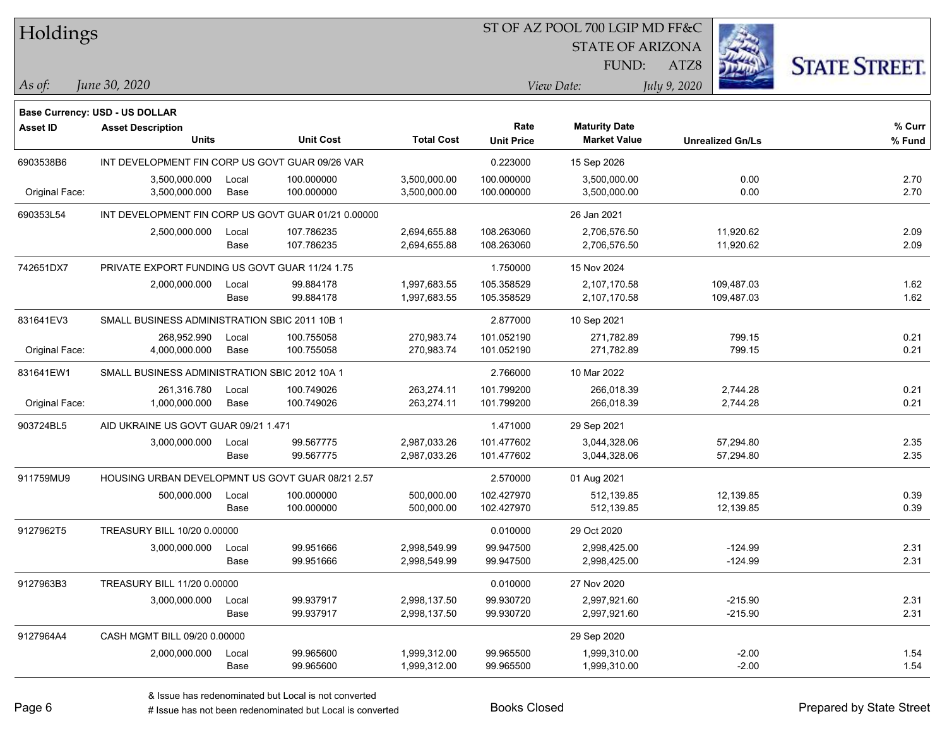| Holdings        |                                                  |       |                                                     |                   |                           | ST OF AZ POOL 700 LGIP MD FF&C              |                         |                      |
|-----------------|--------------------------------------------------|-------|-----------------------------------------------------|-------------------|---------------------------|---------------------------------------------|-------------------------|----------------------|
|                 |                                                  |       |                                                     |                   |                           | <b>STATE OF ARIZONA</b>                     |                         |                      |
|                 |                                                  |       |                                                     |                   |                           | FUND:                                       | ATZ8                    | <b>STATE STREET.</b> |
| As of:          | June 30, 2020                                    |       |                                                     |                   |                           | View Date:                                  | July 9, 2020            |                      |
|                 | Base Currency: USD - US DOLLAR                   |       |                                                     |                   |                           |                                             |                         |                      |
| <b>Asset ID</b> | <b>Asset Description</b><br>Units                |       | <b>Unit Cost</b>                                    | <b>Total Cost</b> | Rate<br><b>Unit Price</b> | <b>Maturity Date</b><br><b>Market Value</b> | <b>Unrealized Gn/Ls</b> | % Curr<br>% Fund     |
| 6903538B6       | INT DEVELOPMENT FIN CORP US GOVT GUAR 09/26 VAR  |       |                                                     |                   | 0.223000                  | 15 Sep 2026                                 |                         |                      |
|                 | 3,500,000.000                                    | Local | 100.000000                                          | 3,500,000.00      | 100.000000                | 3,500,000.00                                | 0.00                    | 2.70                 |
| Original Face:  | 3,500,000.000                                    | Base  | 100.000000                                          | 3,500,000.00      | 100.000000                | 3,500,000.00                                | 0.00                    | 2.70                 |
| 690353L54       |                                                  |       | INT DEVELOPMENT FIN CORP US GOVT GUAR 01/21 0.00000 |                   |                           | 26 Jan 2021                                 |                         |                      |
|                 | 2,500,000.000                                    | Local | 107.786235                                          | 2,694,655.88      | 108.263060                | 2,706,576.50                                | 11,920.62               | 2.09                 |
|                 |                                                  | Base  | 107.786235                                          | 2,694,655.88      | 108.263060                | 2,706,576.50                                | 11,920.62               | 2.09                 |
| 742651DX7       | PRIVATE EXPORT FUNDING US GOVT GUAR 11/24 1.75   |       |                                                     |                   | 1.750000                  | 15 Nov 2024                                 |                         |                      |
|                 | 2,000,000.000                                    | Local | 99.884178                                           | 1,997,683.55      | 105.358529                | 2,107,170.58                                | 109,487.03              | 1.62                 |
|                 |                                                  | Base  | 99.884178                                           | 1,997,683.55      | 105.358529                | 2,107,170.58                                | 109,487.03              | 1.62                 |
| 831641EV3       | SMALL BUSINESS ADMINISTRATION SBIC 2011 10B 1    |       |                                                     |                   | 2.877000                  | 10 Sep 2021                                 |                         |                      |
|                 | 268,952.990                                      | Local | 100.755058                                          | 270,983.74        | 101.052190                | 271,782.89                                  | 799.15                  | 0.21                 |
| Original Face:  | 4,000,000.000                                    | Base  | 100.755058                                          | 270,983.74        | 101.052190                | 271,782.89                                  | 799.15                  | 0.21                 |
| 831641EW1       | SMALL BUSINESS ADMINISTRATION SBIC 2012 10A 1    |       |                                                     |                   | 2.766000                  | 10 Mar 2022                                 |                         |                      |
|                 | 261,316.780                                      | Local | 100.749026                                          | 263,274.11        | 101.799200                | 266,018.39                                  | 2,744.28                | 0.21                 |
| Original Face:  | 1,000,000.000                                    | Base  | 100.749026                                          | 263,274.11        | 101.799200                | 266,018.39                                  | 2,744.28                | 0.21                 |
| 903724BL5       | AID UKRAINE US GOVT GUAR 09/21 1.471             |       |                                                     |                   | 1.471000                  | 29 Sep 2021                                 |                         |                      |
|                 | 3,000,000.000                                    | Local | 99.567775                                           | 2,987,033.26      | 101.477602                | 3,044,328.06                                | 57,294.80               | 2.35                 |
|                 |                                                  | Base  | 99.567775                                           | 2,987,033.26      | 101.477602                | 3,044,328.06                                | 57,294.80               | 2.35                 |
| 911759MU9       | HOUSING URBAN DEVELOPMNT US GOVT GUAR 08/21 2.57 |       |                                                     |                   | 2.570000                  | 01 Aug 2021                                 |                         |                      |
|                 | 500,000.000                                      | Local | 100.000000                                          | 500,000.00        | 102.427970                | 512,139.85                                  | 12,139.85               | 0.39                 |
|                 |                                                  | Base  | 100.000000                                          | 500,000.00        | 102.427970                | 512,139.85                                  | 12,139.85               | 0.39                 |
| 9127962T5       | TREASURY BILL 10/20 0.00000                      |       |                                                     |                   | 0.010000                  | 29 Oct 2020                                 |                         |                      |
|                 | 3,000,000.000 Local                              |       | 99.951666                                           | 2,998,549.99      | 99.947500                 | 2,998,425.00                                | $-124.99$               | 2.31                 |
|                 |                                                  | Base  | 99.951666                                           | 2,998,549.99      | 99.947500                 | 2,998,425.00                                | $-124.99$               | 2.31                 |
| 9127963B3       | TREASURY BILL 11/20 0.00000                      |       |                                                     |                   | 0.010000                  | 27 Nov 2020                                 |                         |                      |
|                 | 3,000,000.000                                    | Local | 99.937917                                           | 2,998,137.50      | 99.930720                 | 2,997,921.60                                | $-215.90$               | 2.31                 |
|                 |                                                  | Base  | 99.937917                                           | 2,998,137.50      | 99.930720                 | 2,997,921.60                                | $-215.90$               | 2.31                 |
| 9127964A4       | CASH MGMT BILL 09/20 0.00000                     |       |                                                     |                   |                           | 29 Sep 2020                                 |                         |                      |
|                 | 2,000,000.000                                    | Local | 99.965600                                           | 1,999,312.00      | 99.965500                 | 1,999,310.00                                | $-2.00$                 | 1.54                 |
|                 |                                                  | Base  | 99.965600                                           | 1,999,312.00      | 99.965500                 | 1,999,310.00                                | $-2.00$                 | 1.54                 |

 $\overline{\phantom{0}}$ 

denote the redenominated but Local is converted Books Closed Prepared by State Street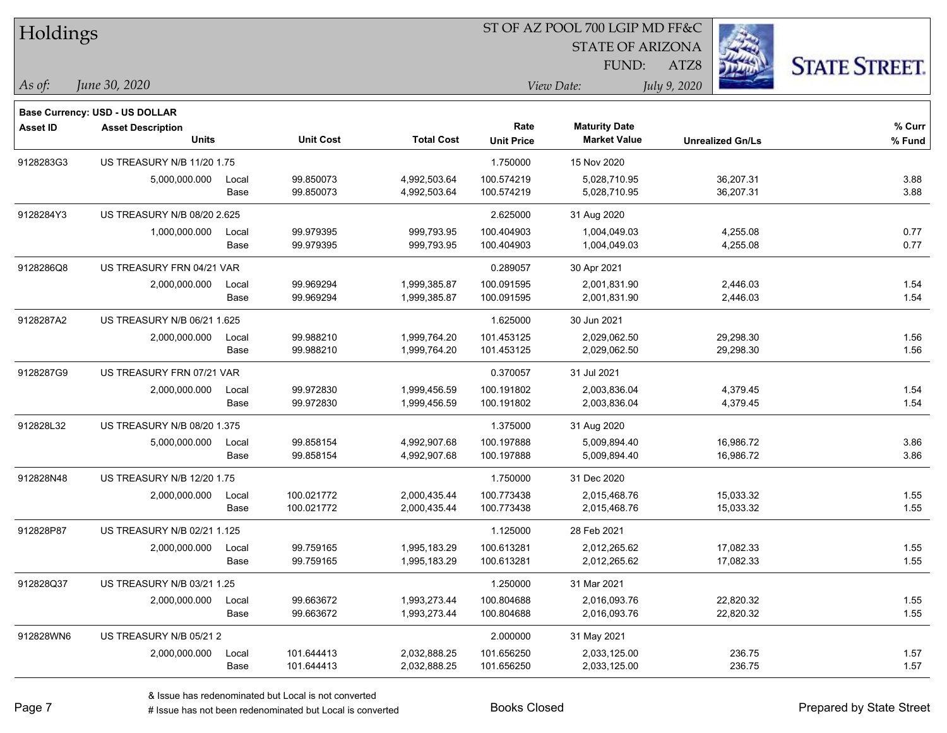| Holdings        |                                       |       |                  |                   |                   | ST OF AZ POOL 700 LGIP MD FF&C |                         |                      |
|-----------------|---------------------------------------|-------|------------------|-------------------|-------------------|--------------------------------|-------------------------|----------------------|
|                 |                                       |       |                  |                   |                   | <b>STATE OF ARIZONA</b>        |                         |                      |
|                 |                                       |       |                  |                   |                   | FUND:                          | ATZ8                    | <b>STATE STREET.</b> |
| As of:          | June 30, 2020                         |       |                  |                   |                   | View Date:                     | July 9, 2020            |                      |
|                 | <b>Base Currency: USD - US DOLLAR</b> |       |                  |                   |                   |                                |                         |                      |
| <b>Asset ID</b> | <b>Asset Description</b>              |       |                  |                   | Rate              | <b>Maturity Date</b>           |                         | % Curr               |
|                 | <b>Units</b>                          |       | <b>Unit Cost</b> | <b>Total Cost</b> | <b>Unit Price</b> | <b>Market Value</b>            | <b>Unrealized Gn/Ls</b> | % Fund               |
| 9128283G3       | <b>US TREASURY N/B 11/20 1.75</b>     |       |                  |                   | 1.750000          | 15 Nov 2020                    |                         |                      |
|                 | 5,000,000.000                         | Local | 99.850073        | 4,992,503.64      | 100.574219        | 5,028,710.95                   | 36,207.31               | 3.88                 |
|                 |                                       | Base  | 99.850073        | 4,992,503.64      | 100.574219        | 5,028,710.95                   | 36,207.31               | 3.88                 |
| 9128284Y3       | US TREASURY N/B 08/20 2.625           |       |                  |                   | 2.625000          | 31 Aug 2020                    |                         |                      |
|                 | 1,000,000.000                         | Local | 99.979395        | 999,793.95        | 100.404903        | 1,004,049.03                   | 4,255.08                | 0.77                 |
|                 |                                       | Base  | 99.979395        | 999,793.95        | 100.404903        | 1,004,049.03                   | 4,255.08                | 0.77                 |
| 9128286Q8       | US TREASURY FRN 04/21 VAR             |       |                  |                   | 0.289057          | 30 Apr 2021                    |                         |                      |
|                 | 2,000,000.000                         | Local | 99.969294        | 1,999,385.87      | 100.091595        | 2,001,831.90                   | 2,446.03                | 1.54                 |
|                 |                                       | Base  | 99.969294        | 1,999,385.87      | 100.091595        | 2,001,831.90                   | 2,446.03                | 1.54                 |
| 9128287A2       | US TREASURY N/B 06/21 1.625           |       |                  |                   | 1.625000          | 30 Jun 2021                    |                         |                      |
|                 | 2,000,000.000                         | Local | 99.988210        | 1,999,764.20      | 101.453125        | 2,029,062.50                   | 29.298.30               | 1.56                 |
|                 |                                       | Base  | 99.988210        | 1,999,764.20      | 101.453125        | 2,029,062.50                   | 29,298.30               | 1.56                 |
| 9128287G9       | US TREASURY FRN 07/21 VAR             |       |                  |                   | 0.370057          | 31 Jul 2021                    |                         |                      |
|                 | 2,000,000.000                         | Local | 99.972830        | 1,999,456.59      | 100.191802        | 2,003,836.04                   | 4,379.45                | 1.54                 |
|                 |                                       | Base  | 99.972830        | 1,999,456.59      | 100.191802        | 2,003,836.04                   | 4,379.45                | 1.54                 |
| 912828L32       | US TREASURY N/B 08/20 1.375           |       |                  |                   | 1.375000          | 31 Aug 2020                    |                         |                      |
|                 | 5,000,000.000                         | Local | 99.858154        | 4,992,907.68      | 100.197888        | 5,009,894.40                   | 16,986.72               | 3.86                 |
|                 |                                       | Base  | 99.858154        | 4,992,907.68      | 100.197888        | 5,009,894.40                   | 16,986.72               | 3.86                 |
| 912828N48       | <b>US TREASURY N/B 12/20 1.75</b>     |       |                  |                   | 1.750000          | 31 Dec 2020                    |                         |                      |
|                 | 2,000,000.000                         | Local | 100.021772       | 2,000,435.44      | 100.773438        | 2,015,468.76                   | 15,033.32               | 1.55                 |
|                 |                                       | Base  | 100.021772       | 2,000,435.44      | 100.773438        | 2,015,468.76                   | 15,033.32               | 1.55                 |
| 912828P87       | US TREASURY N/B 02/21 1.125           |       |                  |                   | 1.125000          | 28 Feb 2021                    |                         |                      |
|                 | 2,000,000.000                         | Local | 99.759165        | 1,995,183.29      | 100.613281        | 2,012,265.62                   | 17,082.33               | 1.55                 |
|                 |                                       | Base  | 99.759165        | 1,995,183.29      | 100.613281        | 2,012,265.62                   | 17,082.33               | 1.55                 |
| 912828Q37       | US TREASURY N/B 03/21 1.25            |       |                  |                   | 1.250000          | 31 Mar 2021                    |                         |                      |
|                 | 2,000,000.000                         | Local | 99.663672        | 1,993,273.44      | 100.804688        | 2,016,093.76                   | 22,820.32               | 1.55                 |
|                 |                                       | Base  | 99.663672        | 1,993,273.44      | 100.804688        | 2,016,093.76                   | 22,820.32               | 1.55                 |
| 912828WN6       | US TREASURY N/B 05/21 2               |       |                  |                   | 2.000000          | 31 May 2021                    |                         |                      |
|                 | 2,000,000.000                         | Local | 101.644413       | 2,032,888.25      | 101.656250        | 2,033,125.00                   | 236.75                  | 1.57                 |
|                 |                                       | Base  | 101.644413       | 2,032,888.25      | 101.656250        | 2,033,125.00                   | 236.75                  | 1.57                 |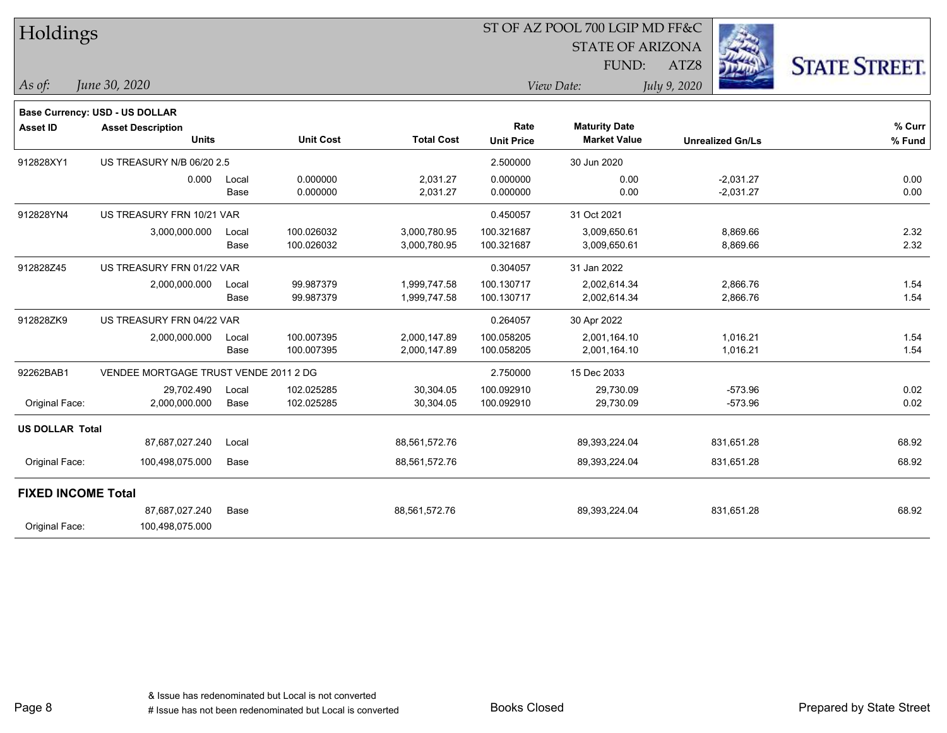| Holdings                  |                                       |       |                  |                   | ST OF AZ POOL 700 LGIP MD FF&C |                         |                         |                      |  |  |
|---------------------------|---------------------------------------|-------|------------------|-------------------|--------------------------------|-------------------------|-------------------------|----------------------|--|--|
|                           |                                       |       |                  |                   |                                | <b>STATE OF ARIZONA</b> |                         |                      |  |  |
|                           |                                       |       |                  |                   |                                | FUND:                   | ATZ8                    | <b>STATE STREET.</b> |  |  |
| As of:                    | June 30, 2020                         |       |                  |                   |                                | View Date:              | July 9, 2020            |                      |  |  |
|                           | Base Currency: USD - US DOLLAR        |       |                  |                   |                                |                         |                         |                      |  |  |
| <b>Asset ID</b>           | <b>Asset Description</b>              |       |                  |                   | Rate                           | <b>Maturity Date</b>    |                         | % Curr               |  |  |
|                           | <b>Units</b>                          |       | <b>Unit Cost</b> | <b>Total Cost</b> | <b>Unit Price</b>              | <b>Market Value</b>     | <b>Unrealized Gn/Ls</b> | % Fund               |  |  |
| 912828XY1                 | US TREASURY N/B 06/20 2.5             |       |                  |                   | 2.500000                       | 30 Jun 2020             |                         |                      |  |  |
|                           | 0.000                                 | Local | 0.000000         | 2,031.27          | 0.000000                       | 0.00                    | $-2,031.27$             | 0.00                 |  |  |
|                           |                                       | Base  | 0.000000         | 2,031.27          | 0.000000                       | 0.00                    | $-2,031.27$             | 0.00                 |  |  |
| 912828YN4                 | US TREASURY FRN 10/21 VAR             |       |                  |                   | 0.450057                       | 31 Oct 2021             |                         |                      |  |  |
|                           | 3,000,000.000                         | Local | 100.026032       | 3,000,780.95      | 100.321687                     | 3,009,650.61            | 8,869.66                | 2.32                 |  |  |
|                           |                                       | Base  | 100.026032       | 3,000,780.95      | 100.321687                     | 3,009,650.61            | 8,869.66                | 2.32                 |  |  |
| 912828Z45                 | US TREASURY FRN 01/22 VAR             |       |                  |                   | 0.304057                       | 31 Jan 2022             |                         |                      |  |  |
|                           | 2,000,000.000                         | Local | 99.987379        | 1,999,747.58      | 100.130717                     | 2,002,614.34            | 2,866.76                | 1.54                 |  |  |
|                           |                                       | Base  | 99.987379        | 1,999,747.58      | 100.130717                     | 2,002,614.34            | 2,866.76                | 1.54                 |  |  |
| 912828ZK9                 | US TREASURY FRN 04/22 VAR             |       |                  |                   | 0.264057                       | 30 Apr 2022             |                         |                      |  |  |
|                           | 2,000,000.000                         | Local | 100.007395       | 2,000,147.89      | 100.058205                     | 2,001,164.10            | 1,016.21                | 1.54                 |  |  |
|                           |                                       | Base  | 100.007395       | 2,000,147.89      | 100.058205                     | 2,001,164.10            | 1,016.21                | 1.54                 |  |  |
| 92262BAB1                 | VENDEE MORTGAGE TRUST VENDE 2011 2 DG |       |                  |                   | 2.750000                       | 15 Dec 2033             |                         |                      |  |  |
|                           | 29,702.490                            | Local | 102.025285       | 30,304.05         | 100.092910                     | 29,730.09               | $-573.96$               | 0.02                 |  |  |
| Original Face:            | 2,000,000.000                         | Base  | 102.025285       | 30,304.05         | 100.092910                     | 29,730.09               | $-573.96$               | 0.02                 |  |  |
| <b>US DOLLAR Total</b>    |                                       |       |                  |                   |                                |                         |                         |                      |  |  |
|                           | 87,687,027.240                        | Local |                  | 88,561,572.76     |                                | 89,393,224.04           | 831,651.28              | 68.92                |  |  |
| Original Face:            | 100,498,075.000                       | Base  |                  | 88,561,572.76     |                                | 89,393,224.04           | 831,651.28              | 68.92                |  |  |
| <b>FIXED INCOME Total</b> |                                       |       |                  |                   |                                |                         |                         |                      |  |  |
|                           | 87,687,027.240                        | Base  |                  | 88,561,572.76     |                                | 89,393,224.04           | 831,651.28              | 68.92                |  |  |
| Original Face:            | 100,498,075.000                       |       |                  |                   |                                |                         |                         |                      |  |  |
|                           |                                       |       |                  |                   |                                |                         |                         |                      |  |  |

Page 8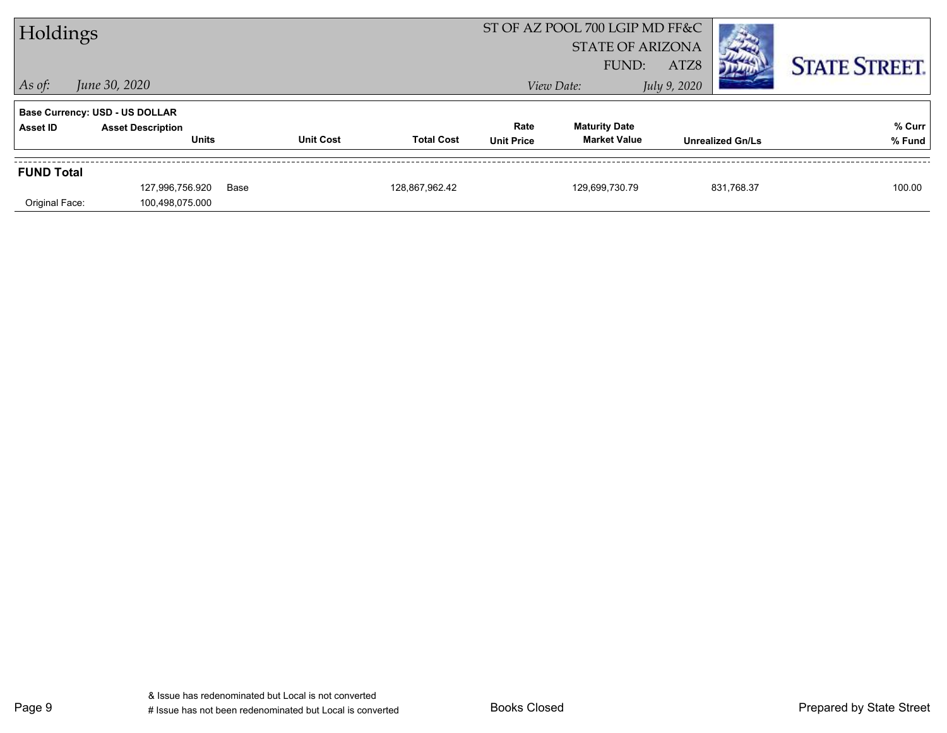| Holdings          |                                       |      |                  |                         | ST OF AZ POOL 700 LGIP MD FF&C |                      |                         |                      |
|-------------------|---------------------------------------|------|------------------|-------------------------|--------------------------------|----------------------|-------------------------|----------------------|
|                   |                                       |      |                  | <b>STATE OF ARIZONA</b> |                                |                      |                         |                      |
|                   |                                       |      |                  |                         |                                | FUND:                | ATZ8                    | <b>STATE STREET.</b> |
| $\vert$ As of:    | June 30, 2020                         |      |                  |                         |                                | View Date:           | July 9, 2020            |                      |
|                   | <b>Base Currency: USD - US DOLLAR</b> |      |                  |                         |                                |                      |                         |                      |
| Asset ID          | <b>Asset Description</b>              |      |                  |                         | Rate                           | <b>Maturity Date</b> |                         | % Curr               |
|                   | <b>Units</b>                          |      | <b>Unit Cost</b> | <b>Total Cost</b>       | <b>Unit Price</b>              | <b>Market Value</b>  | <b>Unrealized Gn/Ls</b> | % Fund               |
| <b>FUND Total</b> |                                       |      |                  |                         |                                |                      |                         |                      |
|                   | 127,996,756.920                       | Base |                  | 128,867,962.42          |                                | 129,699,730.79       | 831,768.37              | 100.00               |
| Original Face:    | 100,498,075.000                       |      |                  |                         |                                |                      |                         |                      |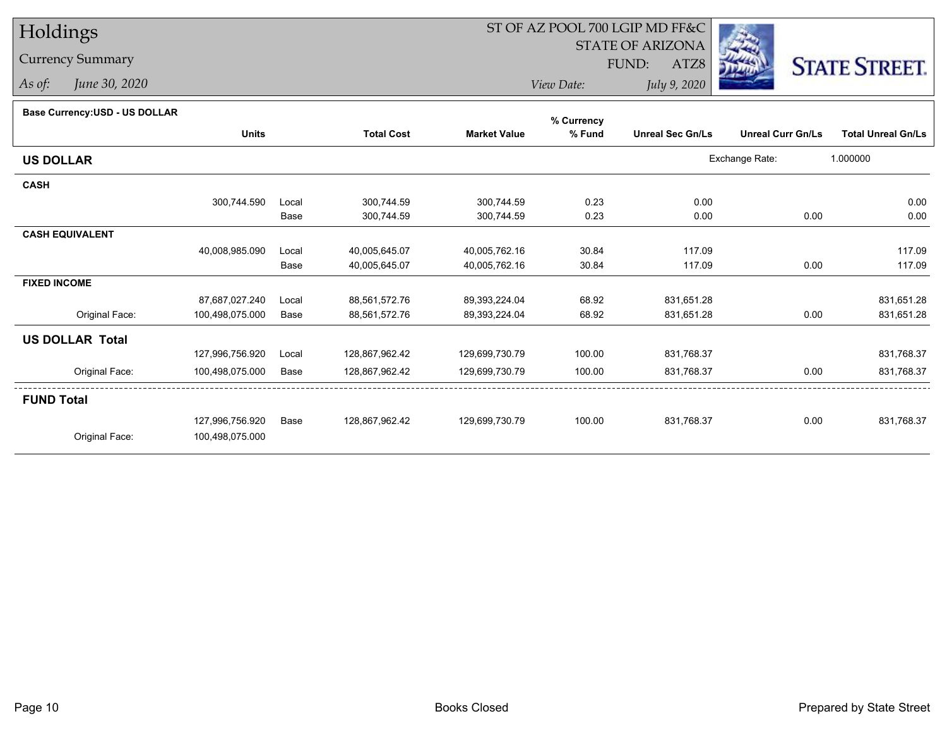# Holdings

Currency Summary

*As of: June 30, 2020*

## ST OF AZ POOL 700 LGIP MD FF&C

STATE OF ARIZONA

FUND:

*July 9, 2020*

ATZ8



*View Date:*

### **Base Currency:USD - US DOLLAR**

|                        |                 |       |                   |                     | % Currency |                         |                          |                           |
|------------------------|-----------------|-------|-------------------|---------------------|------------|-------------------------|--------------------------|---------------------------|
|                        | <b>Units</b>    |       | <b>Total Cost</b> | <b>Market Value</b> | % Fund     | <b>Unreal Sec Gn/Ls</b> | <b>Unreal Curr Gn/Ls</b> | <b>Total Unreal Gn/Ls</b> |
| <b>US DOLLAR</b>       |                 |       |                   |                     |            |                         | Exchange Rate:           | 1.000000                  |
| <b>CASH</b>            |                 |       |                   |                     |            |                         |                          |                           |
|                        | 300,744.590     | Local | 300,744.59        | 300,744.59          | 0.23       | 0.00                    |                          | 0.00                      |
|                        |                 | Base  | 300,744.59        | 300,744.59          | 0.23       | 0.00                    | 0.00                     | 0.00                      |
| <b>CASH EQUIVALENT</b> |                 |       |                   |                     |            |                         |                          |                           |
|                        | 40,008,985.090  | Local | 40,005,645.07     | 40,005,762.16       | 30.84      | 117.09                  |                          | 117.09                    |
|                        |                 | Base  | 40,005,645.07     | 40,005,762.16       | 30.84      | 117.09                  | 0.00                     | 117.09                    |
| <b>FIXED INCOME</b>    |                 |       |                   |                     |            |                         |                          |                           |
|                        | 87,687,027.240  | Local | 88,561,572.76     | 89,393,224.04       | 68.92      | 831,651.28              |                          | 831,651.28                |
| Original Face:         | 100,498,075.000 | Base  | 88,561,572.76     | 89, 393, 224.04     | 68.92      | 831,651.28              | 0.00                     | 831,651.28                |
| <b>US DOLLAR Total</b> |                 |       |                   |                     |            |                         |                          |                           |
|                        | 127,996,756.920 | Local | 128,867,962.42    | 129,699,730.79      | 100.00     | 831,768.37              |                          | 831,768.37                |
| Original Face:         | 100,498,075.000 | Base  | 128,867,962.42    | 129,699,730.79      | 100.00     | 831,768.37              | 0.00                     | 831,768.37                |
| <b>FUND Total</b>      |                 |       |                   |                     |            |                         |                          |                           |
|                        | 127,996,756.920 | Base  | 128,867,962.42    | 129,699,730.79      | 100.00     | 831,768.37              | 0.00                     | 831,768.37                |
| Original Face:         | 100,498,075.000 |       |                   |                     |            |                         |                          |                           |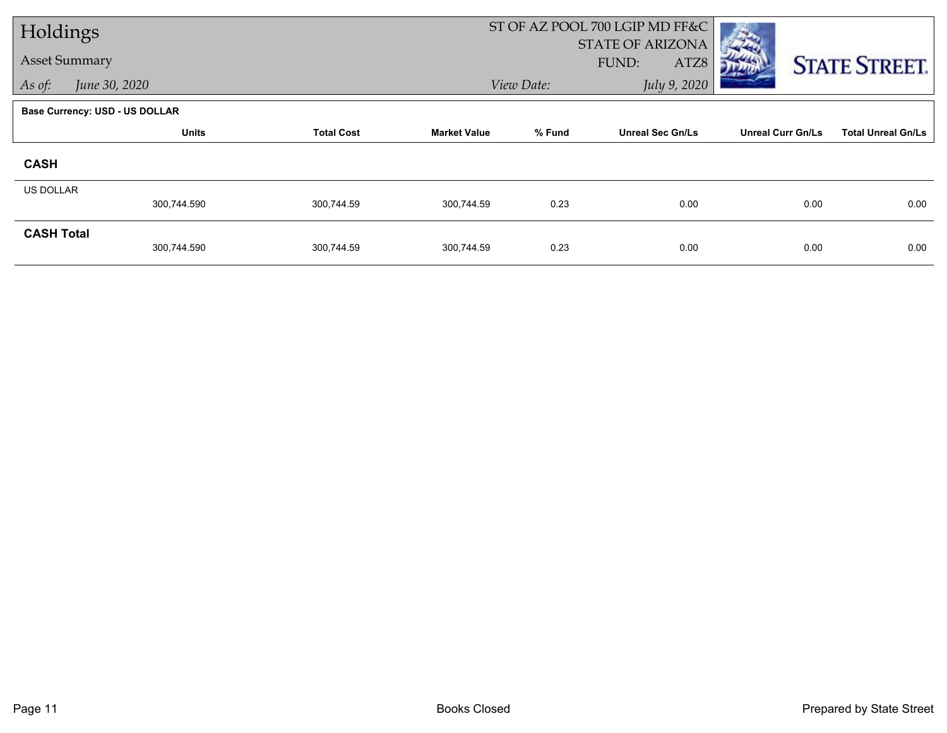| Holdings             |                                       |                   |                     |            | ST OF AZ POOL 700 LGIP MD FF&C           |                          |                           |
|----------------------|---------------------------------------|-------------------|---------------------|------------|------------------------------------------|--------------------------|---------------------------|
| <b>Asset Summary</b> |                                       |                   |                     |            | <b>STATE OF ARIZONA</b><br>FUND:<br>ATZ8 |                          | <b>STATE STREET.</b>      |
| As of:               | June 30, 2020                         |                   |                     | View Date: | July 9, 2020                             |                          |                           |
|                      | <b>Base Currency: USD - US DOLLAR</b> |                   |                     |            |                                          |                          |                           |
|                      | <b>Units</b>                          | <b>Total Cost</b> | <b>Market Value</b> | % Fund     | <b>Unreal Sec Gn/Ls</b>                  | <b>Unreal Curr Gn/Ls</b> | <b>Total Unreal Gn/Ls</b> |
| <b>CASH</b>          |                                       |                   |                     |            |                                          |                          |                           |
| <b>US DOLLAR</b>     | 300,744.590                           | 300,744.59        | 300,744.59          | 0.23       | 0.00                                     | 0.00                     | 0.00                      |
|                      |                                       |                   |                     |            |                                          |                          |                           |
| <b>CASH Total</b>    | 300,744.590                           | 300,744.59        | 300,744.59          | 0.23       | 0.00                                     | 0.00                     | 0.00                      |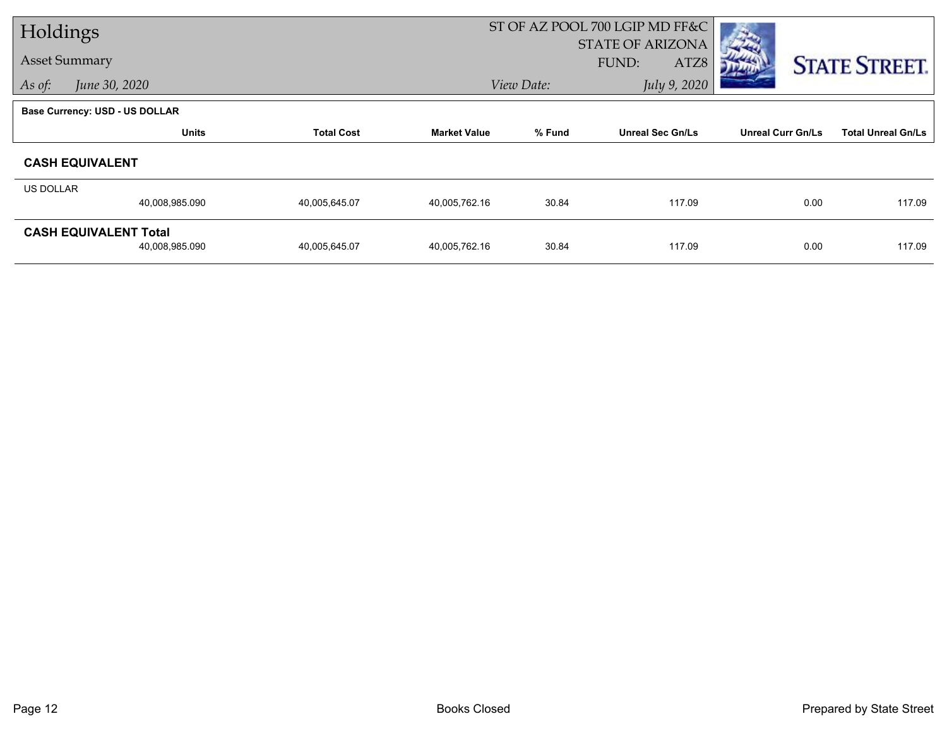| Holdings  |                                |                   |                     |            | ST OF AZ POOL 700 LGIP MD FF&C |                          |                           |
|-----------|--------------------------------|-------------------|---------------------|------------|--------------------------------|--------------------------|---------------------------|
|           |                                |                   |                     |            | STATE OF ARIZONA               |                          |                           |
|           | <b>Asset Summary</b>           |                   |                     |            | <b>FUND:</b><br>ATZ8           |                          | <b>STATE STREET.</b>      |
| As of:    | June 30, 2020                  |                   |                     | View Date: | July 9, 2020                   |                          |                           |
|           | Base Currency: USD - US DOLLAR |                   |                     |            |                                |                          |                           |
|           | <b>Units</b>                   | <b>Total Cost</b> | <b>Market Value</b> | % Fund     | <b>Unreal Sec Gn/Ls</b>        | <b>Unreal Curr Gn/Ls</b> | <b>Total Unreal Gn/Ls</b> |
|           | <b>CASH EQUIVALENT</b>         |                   |                     |            |                                |                          |                           |
| US DOLLAR |                                |                   |                     |            |                                |                          |                           |
|           | 40,008,985.090                 | 40,005,645.07     | 40,005,762.16       | 30.84      | 117.09                         | 0.00                     | 117.09                    |
|           | <b>CASH EQUIVALENT Total</b>   |                   |                     |            |                                |                          |                           |
|           | 40,008,985.090                 | 40,005,645.07     | 40,005,762.16       | 30.84      | 117.09                         | 0.00                     | 117.09                    |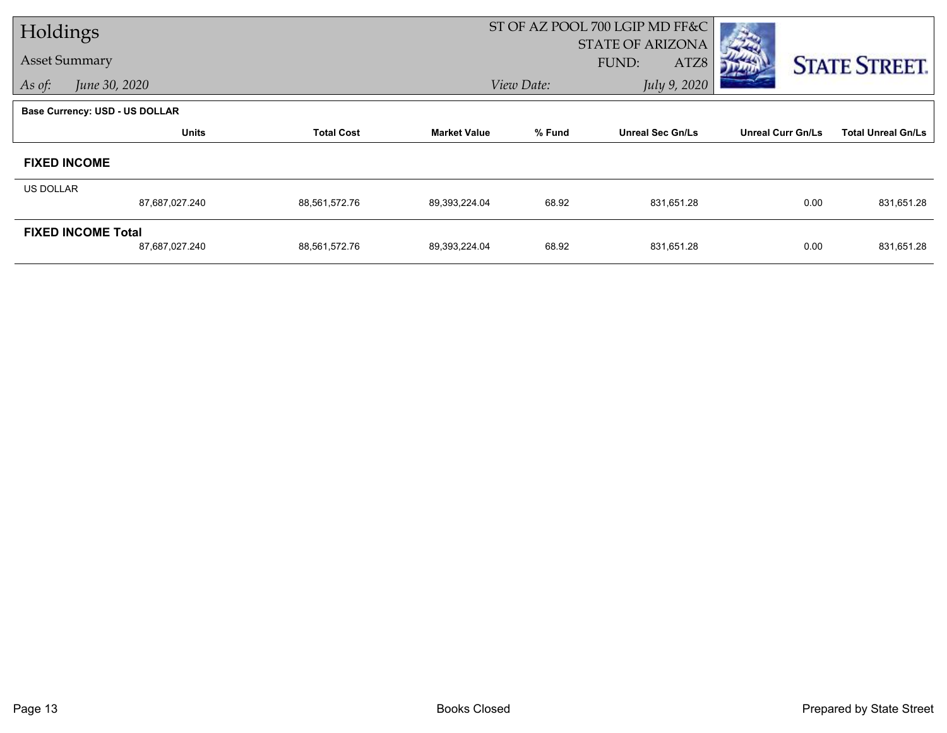| Holdings         |                                       |                   |                     | ST OF AZ POOL 700 LGIP MD FF&C |                         |                          |                           |  |
|------------------|---------------------------------------|-------------------|---------------------|--------------------------------|-------------------------|--------------------------|---------------------------|--|
|                  |                                       |                   |                     |                                | STATE OF ARIZONA        |                          |                           |  |
|                  | <b>Asset Summary</b>                  |                   |                     |                                | FUND:<br>ATZ8           |                          | <b>STATE STREET.</b>      |  |
| As of:           | June 30, 2020                         |                   |                     | View Date:                     | July 9, 2020            |                          |                           |  |
|                  | <b>Base Currency: USD - US DOLLAR</b> |                   |                     |                                |                         |                          |                           |  |
|                  | <b>Units</b>                          | <b>Total Cost</b> | <b>Market Value</b> | % Fund                         | <b>Unreal Sec Gn/Ls</b> | <b>Unreal Curr Gn/Ls</b> | <b>Total Unreal Gn/Ls</b> |  |
|                  | <b>FIXED INCOME</b>                   |                   |                     |                                |                         |                          |                           |  |
| <b>US DOLLAR</b> |                                       |                   |                     |                                |                         |                          |                           |  |
|                  | 87,687,027.240                        | 88,561,572.76     | 89,393,224.04       | 68.92                          | 831,651.28              | 0.00                     | 831,651.28                |  |
|                  | <b>FIXED INCOME Total</b>             |                   |                     |                                |                         |                          |                           |  |
|                  | 87,687,027.240                        | 88,561,572.76     | 89,393,224.04       | 68.92                          | 831,651.28              | 0.00                     | 831,651.28                |  |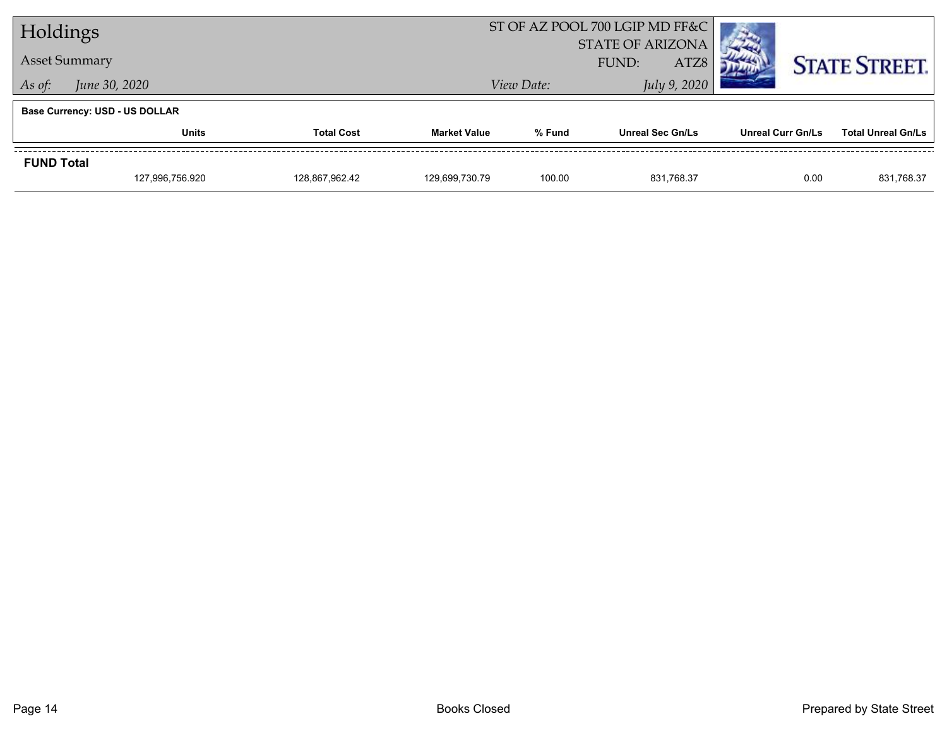| Holdings             |                                       |                   |                     |            | ST OF AZ POOL 700 LGIP MD FF&C<br><b>STATE OF ARIZONA</b> |                          |                           |
|----------------------|---------------------------------------|-------------------|---------------------|------------|-----------------------------------------------------------|--------------------------|---------------------------|
| <b>Asset Summary</b> |                                       |                   |                     |            | FUND:<br>ATZ8                                             |                          | <b>STATE STREET.</b>      |
| As of:               | June 30, 2020                         |                   |                     | View Date: | July 9, 2020                                              |                          |                           |
|                      | <b>Base Currency: USD - US DOLLAR</b> |                   |                     |            |                                                           |                          |                           |
|                      | <b>Units</b>                          | <b>Total Cost</b> | <b>Market Value</b> | % Fund     | <b>Unreal Sec Gn/Ls</b>                                   | <b>Unreal Curr Gn/Ls</b> | <b>Total Unreal Gn/Ls</b> |
| <b>FUND Total</b>    |                                       |                   |                     |            |                                                           |                          |                           |
|                      | 127,996,756.920                       | 128,867,962.42    | 129,699,730.79      | 100.00     | 831.768.37                                                | 0.00                     | 831,768.37                |